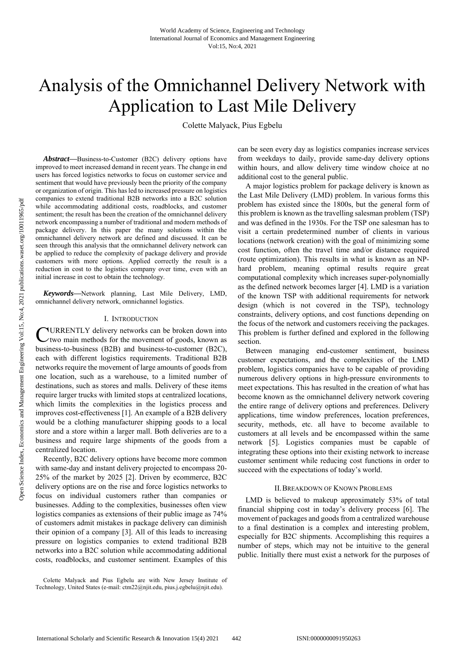# Analysis of the Omnichannel Delivery Network with Application to Last Mile Delivery

Colette Malyack, Pius Egbelu

*Abstract***—**Business-to-Customer (B2C) delivery options have improved to meet increased demand in recent years. The change in end users has forced logistics networks to focus on customer service and sentiment that would have previously been the priority of the company or organization of origin. This has led to increased pressure on logistics companies to extend traditional B2B networks into a B2C solution while accommodating additional costs, roadblocks, and customer sentiment; the result has been the creation of the omnichannel delivery network encompassing a number of traditional and modern methods of package delivery. In this paper the many solutions within the omnichannel delivery network are defined and discussed. It can be seen through this analysis that the omnichannel delivery network can be applied to reduce the complexity of package delivery and provide customers with more options. Applied correctly the result is a reduction in cost to the logistics company over time, even with an initial increase in cost to obtain the technology.

*Keywords***—**Network planning, Last Mile Delivery, LMD, omnichannel delivery network, omnichannel logistics.

## I. INTRODUCTION

**CURRENTLY** delivery networks can be broken down into two main methods for the movement of goods, known as two main methods for the movement of goods, known as business-to-business (B2B) and business-to-customer (B2C), each with different logistics requirements. Traditional B2B networks require the movement of large amounts of goods from one location, such as a warehouse, to a limited number of destinations, such as stores and malls. Delivery of these items require larger trucks with limited stops at centralized locations, which limits the complexities in the logistics process and improves cost-effectiveness [1]. An example of a B2B delivery would be a clothing manufacturer shipping goods to a local store and a store within a larger mall. Both deliveries are to a business and require large shipments of the goods from a centralized location.

Recently, B2C delivery options have become more common with same-day and instant delivery projected to encompass 20- 25% of the market by 2025 [2]. Driven by ecommerce, B2C delivery options are on the rise and force logistics networks to focus on individual customers rather than companies or businesses. Adding to the complexities, businesses often view logistics companies as extensions of their public image as 74% of customers admit mistakes in package delivery can diminish their opinion of a company [3]. All of this leads to increasing pressure on logistics companies to extend traditional B2B networks into a B2C solution while accommodating additional costs, roadblocks, and customer sentiment. Examples of this

Colette Malyack and Pius Egbelu are with New Jersey Institute of Technology, United States (e-mail: ctm22@njit.edu, pius.j.egbelu@njit.edu).

can be seen every day as logistics companies increase services from weekdays to daily, provide same-day delivery options within hours, and allow delivery time window choice at no additional cost to the general public.

A major logistics problem for package delivery is known as the Last Mile Delivery (LMD) problem. In various forms this problem has existed since the 1800s, but the general form of this problem is known as the travelling salesman problem (TSP) and was defined in the 1930s. For the TSP one salesman has to visit a certain predetermined number of clients in various locations (network creation) with the goal of minimizing some cost function, often the travel time and/or distance required (route optimization). This results in what is known as an NPhard problem, meaning optimal results require great computational complexity which increases super-polynomially as the defined network becomes larger [4]. LMD is a variation of the known TSP with additional requirements for network design (which is not covered in the TSP), technology constraints, delivery options, and cost functions depending on the focus of the network and customers receiving the packages. This problem is further defined and explored in the following section.

Between managing end-customer sentiment, business customer expectations, and the complexities of the LMD problem, logistics companies have to be capable of providing numerous delivery options in high-pressure environments to meet expectations. This has resulted in the creation of what has become known as the omnichannel delivery network covering the entire range of delivery options and preferences. Delivery applications, time window preferences, location preferences, security, methods, etc. all have to become available to customers at all levels and be encompassed within the same network [5]. Logistics companies must be capable of integrating these options into their existing network to increase customer sentiment while reducing cost functions in order to succeed with the expectations of today's world.

## II.BREAKDOWN OF KNOWN PROBLEMS

LMD is believed to makeup approximately 53% of total financial shipping cost in today's delivery process [6]. The movement of packages and goods from a centralized warehouse to a final destination is a complex and interesting problem, especially for B2C shipments. Accomplishing this requires a number of steps, which may not be intuitive to the general public. Initially there must exist a network for the purposes of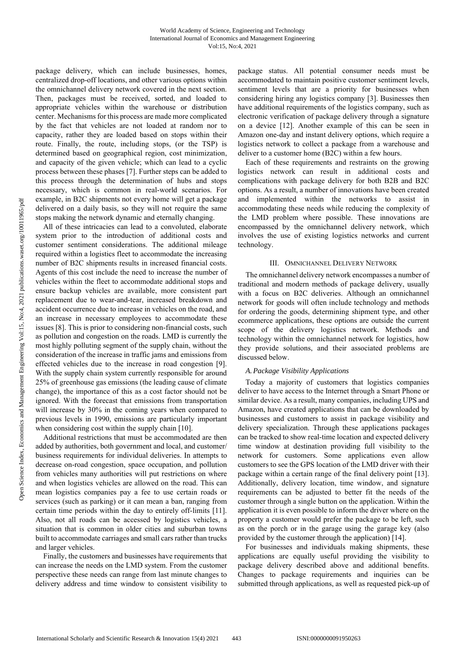package delivery, which can include businesses, homes, centralized drop-off locations, and other various options within the omnichannel delivery network covered in the next section. Then, packages must be received, sorted, and loaded to appropriate vehicles within the warehouse or distribution center. Mechanisms for this process are made more complicated by the fact that vehicles are not loaded at random nor to capacity, rather they are loaded based on stops within their route. Finally, the route, including stops, (or the TSP) is determined based on geographical region, cost minimization, and capacity of the given vehicle; which can lead to a cyclic process between these phases [7]. Further steps can be added to this process through the determination of hubs and stops necessary, which is common in real-world scenarios. For example, in B2C shipments not every home will get a package delivered on a daily basis, so they will not require the same stops making the network dynamic and eternally changing.

All of these intricacies can lead to a convoluted, elaborate system prior to the introduction of additional costs and customer sentiment considerations. The additional mileage required within a logistics fleet to accommodate the increasing number of B2C shipments results in increased financial costs. Agents of this cost include the need to increase the number of vehicles within the fleet to accommodate additional stops and ensure backup vehicles are available, more consistent part replacement due to wear-and-tear, increased breakdown and accident occurrence due to increase in vehicles on the road, and an increase in necessary employees to accommodate these issues [8]. This is prior to considering non-financial costs, such as pollution and congestion on the roads. LMD is currently the most highly polluting segment of the supply chain, without the consideration of the increase in traffic jams and emissions from effected vehicles due to the increase in road congestion [9]. With the supply chain system currently responsible for around 25% of greenhouse gas emissions (the leading cause of climate change), the importance of this as a cost factor should not be ignored. With the forecast that emissions from transportation will increase by 30% in the coming years when compared to previous levels in 1990, emissions are particularly important when considering cost within the supply chain [10].

Additional restrictions that must be accommodated are then added by authorities, both government and local, and customer/ business requirements for individual deliveries. In attempts to decrease on-road congestion, space occupation, and pollution from vehicles many authorities will put restrictions on where and when logistics vehicles are allowed on the road. This can mean logistics companies pay a fee to use certain roads or services (such as parking) or it can mean a ban, ranging from certain time periods within the day to entirely off-limits [11]. Also, not all roads can be accessed by logistics vehicles, a situation that is common in older cities and suburban towns built to accommodate carriages and small cars rather than trucks and larger vehicles.

Finally, the customers and businesses have requirements that can increase the needs on the LMD system. From the customer perspective these needs can range from last minute changes to delivery address and time window to consistent visibility to package status. All potential consumer needs must be accommodated to maintain positive customer sentiment levels, sentiment levels that are a priority for businesses when considering hiring any logistics company [3]. Businesses then have additional requirements of the logistics company, such as electronic verification of package delivery through a signature on a device [12]. Another example of this can be seen in Amazon one-day and instant delivery options, which require a logistics network to collect a package from a warehouse and deliver to a customer home (B2C) within a few hours.

Each of these requirements and restraints on the growing logistics network can result in additional costs and complications with package delivery for both B2B and B2C options. As a result, a number of innovations have been created and implemented within the networks to assist in accommodating these needs while reducing the complexity of the LMD problem where possible. These innovations are encompassed by the omnichannel delivery network, which involves the use of existing logistics networks and current technology.

## III. OMNICHANNEL DELIVERY NETWORK

The omnichannel delivery network encompasses a number of traditional and modern methods of package delivery, usually with a focus on B2C deliveries. Although an omnichannel network for goods will often include technology and methods for ordering the goods, determining shipment type, and other ecommerce applications, these options are outside the current scope of the delivery logistics network. Methods and technology within the omnichannel network for logistics, how they provide solutions, and their associated problems are discussed below.

# *A.Package Visibility Applications*

Today a majority of customers that logistics companies deliver to have access to the Internet through a Smart Phone or similar device. As a result, many companies, including UPS and Amazon, have created applications that can be downloaded by businesses and customers to assist in package visibility and delivery specialization. Through these applications packages can be tracked to show real-time location and expected delivery time window at destination providing full visibility to the network for customers. Some applications even allow customers to see the GPS location of the LMD driver with their package within a certain range of the final delivery point [13]. Additionally, delivery location, time window, and signature requirements can be adjusted to better fit the needs of the customer through a single button on the application. Within the application it is even possible to inform the driver where on the property a customer would prefer the package to be left, such as on the porch or in the garage using the garage key (also provided by the customer through the application) [14].

For businesses and individuals making shipments, these applications are equally useful providing the visibility to package delivery described above and additional benefits. Changes to package requirements and inquiries can be submitted through applications, as well as requested pick-up of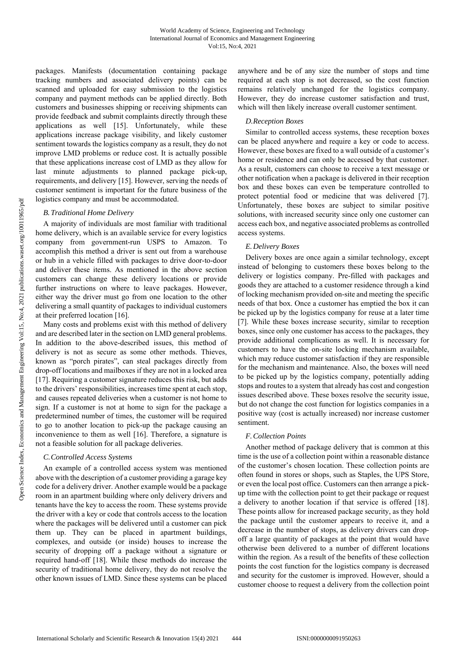packages. Manifests (documentation containing package tracking numbers and associated delivery points) can be scanned and uploaded for easy submission to the logistics company and payment methods can be applied directly. Both customers and businesses shipping or receiving shipments can provide feedback and submit complaints directly through these applications as well [15]. Unfortunately, while these applications increase package visibility, and likely customer sentiment towards the logistics company as a result, they do not improve LMD problems or reduce cost. It is actually possible that these applications increase cost of LMD as they allow for last minute adjustments to planned package pick-up, requirements, and delivery [15]. However, serving the needs of customer sentiment is important for the future business of the logistics company and must be accommodated.

# *B.Traditional Home Delivery*

A majority of individuals are most familiar with traditional home delivery, which is an available service for every logistics company from government-run USPS to Amazon. To accomplish this method a driver is sent out from a warehouse or hub in a vehicle filled with packages to drive door-to-door and deliver these items. As mentioned in the above section customers can change these delivery locations or provide further instructions on where to leave packages. However, either way the driver must go from one location to the other delivering a small quantity of packages to individual customers at their preferred location [16].

Many costs and problems exist with this method of delivery and are described later in the section on LMD general problems. In addition to the above-described issues, this method of delivery is not as secure as some other methods. Thieves, known as "porch pirates", can steal packages directly from drop-off locations and mailboxes if they are not in a locked area [17]. Requiring a customer signature reduces this risk, but adds to the drivers' responsibilities, increases time spent at each stop, and causes repeated deliveries when a customer is not home to sign. If a customer is not at home to sign for the package a predetermined number of times, the customer will be required to go to another location to pick-up the package causing an inconvenience to them as well [16]. Therefore, a signature is not a feasible solution for all package deliveries.

## *C.Controlled Access Systems*

An example of a controlled access system was mentioned above with the description of a customer providing a garage key code for a delivery driver. Another example would be a package room in an apartment building where only delivery drivers and tenants have the key to access the room. These systems provide the driver with a key or code that controls access to the location where the packages will be delivered until a customer can pick them up. They can be placed in apartment buildings, complexes, and outside (or inside) houses to increase the security of dropping off a package without a signature or required hand-off [18]. While these methods do increase the security of traditional home delivery, they do not resolve the other known issues of LMD. Since these systems can be placed anywhere and be of any size the number of stops and time required at each stop is not decreased, so the cost function remains relatively unchanged for the logistics company. However, they do increase customer satisfaction and trust, which will then likely increase overall customer sentiment.

## *D.Reception Boxes*

Similar to controlled access systems, these reception boxes can be placed anywhere and require a key or code to access. However, these boxes are fixed to a wall outside of a customer's home or residence and can only be accessed by that customer. As a result, customers can choose to receive a text message or other notification when a package is delivered in their reception box and these boxes can even be temperature controlled to protect potential food or medicine that was delivered [7]. Unfortunately, these boxes are subject to similar positive solutions, with increased security since only one customer can access each box, and negative associated problems as controlled access systems.

## *E.Delivery Boxes*

Delivery boxes are once again a similar technology, except instead of belonging to customers these boxes belong to the delivery or logistics company. Pre-filled with packages and goods they are attached to a customer residence through a kind of locking mechanism provided on-site and meeting the specific needs of that box. Once a customer has emptied the box it can be picked up by the logistics company for reuse at a later time [7]. While these boxes increase security, similar to reception boxes, since only one customer has access to the packages, they provide additional complications as well. It is necessary for customers to have the on-site locking mechanism available, which may reduce customer satisfaction if they are responsible for the mechanism and maintenance. Also, the boxes will need to be picked up by the logistics company, potentially adding stops and routes to a system that already has cost and congestion issues described above. These boxes resolve the security issue, but do not change the cost function for logistics companies in a positive way (cost is actually increased) nor increase customer sentiment.

### *F.Collection Points*

Another method of package delivery that is common at this time is the use of a collection point within a reasonable distance of the customer's chosen location. These collection points are often found in stores or shops, such as Staples, the UPS Store, or even the local post office. Customers can then arrange a pickup time with the collection point to get their package or request a delivery to another location if that service is offered [18]. These points allow for increased package security, as they hold the package until the customer appears to receive it, and a decrease in the number of stops, as delivery drivers can dropoff a large quantity of packages at the point that would have otherwise been delivered to a number of different locations within the region. As a result of the benefits of these collection points the cost function for the logistics company is decreased and security for the customer is improved. However, should a customer choose to request a delivery from the collection point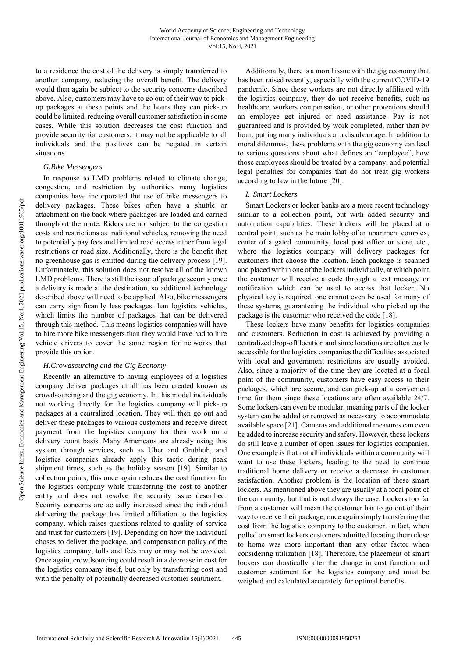to a residence the cost of the delivery is simply transferred to another company, reducing the overall benefit. The delivery would then again be subject to the security concerns described above. Also, customers may have to go out of their way to pickup packages at these points and the hours they can pick-up could be limited, reducing overall customer satisfaction in some cases. While this solution decreases the cost function and provide security for customers, it may not be applicable to all individuals and the positives can be negated in certain situations.

# *G.Bike Messengers*

In response to LMD problems related to climate change, congestion, and restriction by authorities many logistics companies have incorporated the use of bike messengers to delivery packages. These bikes often have a shuttle or attachment on the back where packages are loaded and carried throughout the route. Riders are not subject to the congestion costs and restrictions as traditional vehicles, removing the need to potentially pay fees and limited road access either from legal restrictions or road size. Additionally, there is the benefit that no greenhouse gas is emitted during the delivery process [19]. Unfortunately, this solution does not resolve all of the known LMD problems. There is still the issue of package security once a delivery is made at the destination, so additional technology described above will need to be applied. Also, bike messengers can carry significantly less packages than logistics vehicles, which limits the number of packages that can be delivered through this method. This means logistics companies will have to hire more bike messengers than they would have had to hire vehicle drivers to cover the same region for networks that provide this option.

## *H.Crowdsourcing and the Gig Economy*

Recently an alternative to having employees of a logistics company deliver packages at all has been created known as crowdsourcing and the gig economy. In this model individuals not working directly for the logistics company will pick-up packages at a centralized location. They will then go out and deliver these packages to various customers and receive direct payment from the logistics company for their work on a delivery count basis. Many Americans are already using this system through services, such as Uber and Grubhub, and logistics companies already apply this tactic during peak shipment times, such as the holiday season [19]. Similar to collection points, this once again reduces the cost function for the logistics company while transferring the cost to another entity and does not resolve the security issue described. Security concerns are actually increased since the individual delivering the package has limited affiliation to the logistics company, which raises questions related to quality of service and trust for customers [19]. Depending on how the individual choses to deliver the package, and compensation policy of the logistics company, tolls and fees may or may not be avoided. Once again, crowdsourcing could result in a decrease in cost for the logistics company itself, but only by transferring cost and with the penalty of potentially decreased customer sentiment.

Additionally, there is a moral issue with the gig economy that has been raised recently, especially with the current COVID-19 pandemic. Since these workers are not directly affiliated with the logistics company, they do not receive benefits, such as healthcare, workers compensation, or other protections should an employee get injured or need assistance. Pay is not guaranteed and is provided by work completed, rather than by hour, putting many individuals at a disadvantage. In addition to moral dilemmas, these problems with the gig economy can lead to serious questions about what defines an "employee", how those employees should be treated by a company, and potential legal penalties for companies that do not treat gig workers according to law in the future [20].

## *I. Smart Lockers*

Smart Lockers or locker banks are a more recent technology similar to a collection point, but with added security and automation capabilities. These lockers will be placed at a central point, such as the main lobby of an apartment complex, center of a gated community, local post office or store, etc., where the logistics company will delivery packages for customers that choose the location. Each package is scanned and placed within one of the lockers individually, at which point the customer will receive a code through a text message or notification which can be used to access that locker. No physical key is required, one cannot even be used for many of these systems, guaranteeing the individual who picked up the package is the customer who received the code [18].

These lockers have many benefits for logistics companies and customers. Reduction in cost is achieved by providing a centralized drop-off location and since locations are often easily accessible for the logistics companies the difficulties associated with local and government restrictions are usually avoided. Also, since a majority of the time they are located at a focal point of the community, customers have easy access to their packages, which are secure, and can pick-up at a convenient time for them since these locations are often available 24/7. Some lockers can even be modular, meaning parts of the locker system can be added or removed as necessary to accommodate available space [21]. Cameras and additional measures can even be added to increase security and safety. However, these lockers do still leave a number of open issues for logistics companies. One example is that not all individuals within a community will want to use these lockers, leading to the need to continue traditional home delivery or receive a decrease in customer satisfaction. Another problem is the location of these smart lockers. As mentioned above they are usually at a focal point of the community, but that is not always the case. Lockers too far from a customer will mean the customer has to go out of their way to receive their package, once again simply transferring the cost from the logistics company to the customer. In fact, when polled on smart lockers customers admitted locating them close to home was more important than any other factor when considering utilization [18]. Therefore, the placement of smart lockers can drastically alter the change in cost function and customer sentiment for the logistics company and must be weighed and calculated accurately for optimal benefits.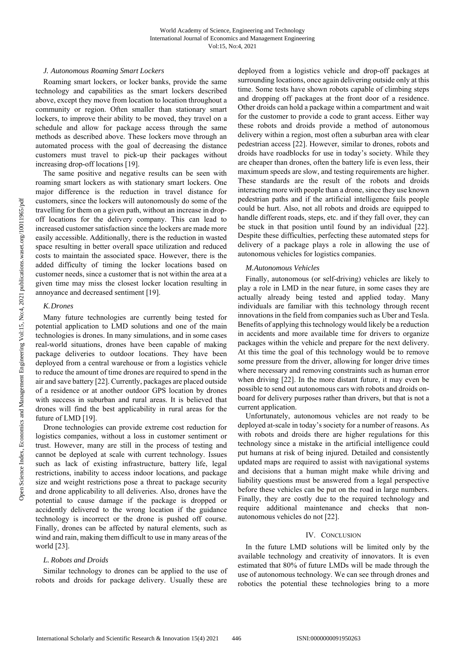## *J. Autonomous Roaming Smart Lockers*

Roaming smart lockers, or locker banks, provide the same technology and capabilities as the smart lockers described above, except they move from location to location throughout a community or region. Often smaller than stationary smart lockers, to improve their ability to be moved, they travel on a schedule and allow for package access through the same methods as described above. These lockers move through an automated process with the goal of decreasing the distance customers must travel to pick-up their packages without increasing drop-off locations [19].

The same positive and negative results can be seen with roaming smart lockers as with stationary smart lockers. One major difference is the reduction in travel distance for customers, since the lockers will autonomously do some of the travelling for them on a given path, without an increase in dropoff locations for the delivery company. This can lead to increased customer satisfaction since the lockers are made more easily accessible. Additionally, there is the reduction in wasted space resulting in better overall space utilization and reduced costs to maintain the associated space. However, there is the added difficulty of timing the locker locations based on customer needs, since a customer that is not within the area at a given time may miss the closest locker location resulting in annoyance and decreased sentiment [19].

## *K.Drones*

Many future technologies are currently being tested for potential application to LMD solutions and one of the main technologies is drones. In many simulations, and in some cases real-world situations, drones have been capable of making package deliveries to outdoor locations. They have been deployed from a central warehouse or from a logistics vehicle to reduce the amount of time drones are required to spend in the air and save battery [22]. Currently, packages are placed outside of a residence or at another outdoor GPS location by drones with success in suburban and rural areas. It is believed that drones will find the best applicability in rural areas for the future of LMD [19].

Drone technologies can provide extreme cost reduction for logistics companies, without a loss in customer sentiment or trust. However, many are still in the process of testing and cannot be deployed at scale with current technology. Issues such as lack of existing infrastructure, battery life, legal restrictions, inability to access indoor locations, and package size and weight restrictions pose a threat to package security and drone applicability to all deliveries. Also, drones have the potential to cause damage if the package is dropped or accidently delivered to the wrong location if the guidance technology is incorrect or the drone is pushed off course. Finally, drones can be affected by natural elements, such as wind and rain, making them difficult to use in many areas of the world [23].

## *L. Robots and Droids*

Similar technology to drones can be applied to the use of robots and droids for package delivery. Usually these are deployed from a logistics vehicle and drop-off packages at surrounding locations, once again delivering outside only at this time. Some tests have shown robots capable of climbing steps and dropping off packages at the front door of a residence. Other droids can hold a package within a compartment and wait for the customer to provide a code to grant access. Either way these robots and droids provide a method of autonomous delivery within a region, most often a suburban area with clear pedestrian access [22]. However, similar to drones, robots and droids have roadblocks for use in today's society. While they are cheaper than drones, often the battery life is even less, their maximum speeds are slow, and testing requirements are higher. These standards are the result of the robots and droids interacting more with people than a drone, since they use known pedestrian paths and if the artificial intelligence fails people could be hurt. Also, not all robots and droids are equipped to handle different roads, steps, etc. and if they fall over, they can be stuck in that position until found by an individual [22]. Despite these difficulties, perfecting these automated steps for delivery of a package plays a role in allowing the use of autonomous vehicles for logistics companies.

# *M.Autonomous Vehicles*

Finally, autonomous (or self-driving) vehicles are likely to play a role in LMD in the near future, in some cases they are actually already being tested and applied today. Many individuals are familiar with this technology through recent innovations in the field from companies such as Uber and Tesla. Benefits of applying this technology would likely be a reduction in accidents and more available time for drivers to organize packages within the vehicle and prepare for the next delivery. At this time the goal of this technology would be to remove some pressure from the driver, allowing for longer drive times where necessary and removing constraints such as human error when driving [22]. In the more distant future, it may even be possible to send out autonomous cars with robots and droids onboard for delivery purposes rather than drivers, but that is not a current application.

Unfortunately, autonomous vehicles are not ready to be deployed at-scale in today's society for a number of reasons. As with robots and droids there are higher regulations for this technology since a mistake in the artificial intelligence could put humans at risk of being injured. Detailed and consistently updated maps are required to assist with navigational systems and decisions that a human might make while driving and liability questions must be answered from a legal perspective before these vehicles can be put on the road in large numbers. Finally, they are costly due to the required technology and require additional maintenance and checks that nonautonomous vehicles do not [22].

# IV. CONCLUSION

In the future LMD solutions will be limited only by the available technology and creativity of innovators. It is even estimated that 80% of future LMDs will be made through the use of autonomous technology. We can see through drones and robotics the potential these technologies bring to a more